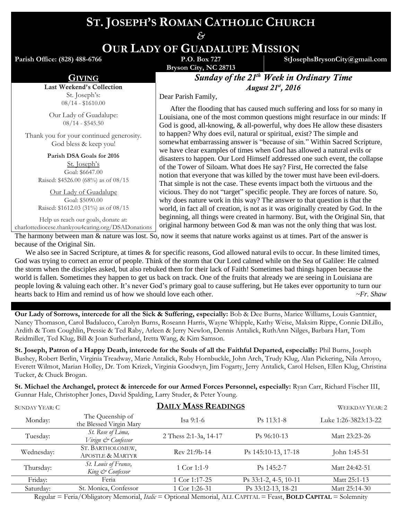# **ST. JOSEPH'S ROMAN CATHOLIC CHURCH**

*&* **OUR LADY OF GUADALUPE MISSION**

**Parish Office: (828) 488-6766** 

**Bryson City, NC 28713**

**StJosephsBrysonCity@gmail.com**

GIVING *Sunday of the 21 th Week in Ordinary Time August 21st , 2016*

Dear Parish Family,

 After the flooding that has caused much suffering and loss for so many in Louisiana, one of the most common questions might resurface in our minds: If God is good, all-knowing, & all-powerful, why does He allow these disasters to happen? Why does evil, natural or spiritual, exist? The simple and somewhat embarrassing answer is "because of sin." Within Sacred Scripture, we have clear examples of times when God has allowed a natural evils or disasters to happen. Our Lord Himself addressed one such event, the collapse of the Tower of Siloam. What does He say? First, He corrected the false notion that everyone that was killed by the tower must have been evil-doers. That simple is not the case. These events impact both the virtuous and the vicious. They do not "target" specific people. They are forces of nature. So, why does nature work in this way? The answer to that question is that the world, in fact all of creation, is not as it was originally created by God. In the beginning, all things were created in harmony. But, with the Original Sin, that original harmony between God & man was not the only thing that was lost.

charlottediocese.thankyou4caring.org/DSADonations The harmony between man & nature was lost. So, now it seems that nature works against us at times. Part of the answer is

because of the Original Sin. We also see in Sacred Scripture, at times & for specific reasons, God allowed natural evils to occur. In these limited times, God was trying to correct an error of people. Think of the storm that Our Lord calmed while on the Sea of Galilee: He calmed the storm when the disciples asked, but also rebuked them for their lack of Faith! Sometimes bad things happen because the world is fallen. Sometimes they happen to get us back on track. One of the fruits that already we are seeing in Louisiana are people loving & valuing each other. It's never God's primary goal to cause suffering, but He takes ever opportunity to turn our hearts back to Him and remind us of how we should love each other. *~Fr. Shaw* 

**Our Lady of Sorrows, intercede for all the Sick & Suffering, especially:** Bob & Dee Burns, Marice Williams, Louis Gantnier, Nancy Thomason, Carol Badalucco, Carolyn Burns, Roseann Harris, Wayne Whipple, Kathy Weise, Maksim Rippe, Connie DiLillo, Ardith & Tom Coughlin, Pressie & Ted Raby, Arleen & Jerry Newlon, Dennis Antalick, RuthAnn Nilges, Barbara Hart, Tom Reidmiller, Ted Klug, Bill & Joan Sutherland, Iretta Wang, & Kim Samson.

**St. Joseph, Patron of a Happy Death, intercede for the Souls of all the Faithful Departed, especially:** Phil Burns, Joseph Bushey, Robert Berlin, Virginia Treadway, Marie Antalick, Ruby Hornbuckle, John Arch, Trudy Klug, Alan Pickering, Nila Arroyo, Everett Wilmot, Marian Holley, Dr. Tom Krizek, Virginia Goodwyn, Jim Fogarty, Jerry Antalick, Carol Helsen, Ellen Klug, Christina Tucker, & Chuck Brogan.

**St. Michael the Archangel, protect & intercede for our Armed Forces Personnel, especially:** Ryan Carr, Richard Fischer III, Gunnar Hale, Christopher Jones, David Spalding, Larry Studer, & Peter Young.

| <b>SUNDAY YEAR: C</b> | <b>DAILY MASS READINGS</b>                      |                       |                       | <b>WEEKDAY YEAR: 2</b> |
|-----------------------|-------------------------------------------------|-----------------------|-----------------------|------------------------|
| Monday:               | The Queenship of<br>the Blessed Virgin Mary     | Isa $9:1-6$           | $Ps$ 113:1-8          | Luke 1:26-3823:13-22   |
| Tuesday:              | St. Rose of Lima,<br>Virign & Confessor         | 2 Thess 2:1-3a, 14-17 | $Ps\,96:10-13$        | Matt 23:23-26          |
| Wednesday:            | ST. BARTHOLOMEW,<br><b>APOSTLE &amp; MARTYR</b> | Rev 21:9b-14          | Ps 145:10-13, 17-18   | John 1:45-51           |
| Thursday:             | St. Louis of France,<br>King & Confessor        | 1 Cor 1:1-9           | $Ps$ 145:2-7          | Matt 24:42-51          |
| Friday:               | Feria                                           | 1 Cor 1:17-25         | Ps 33:1-2, 4-5, 10-11 | Matt 25:1-13           |
| Saturday:             | St. Monica, Confessor                           | 1 Cor 1:26-31         | Ps 33:12-13, 18-21    | Matt 25:14-30          |
|                       |                                                 |                       |                       |                        |

Regular = Feria/Obligatory Memorial, *Italic* = Optional Memorial, ALL CAPITAL = Feast, **BOLD CAPITAL** = Solemnity

Last Weekend's Collection St. Joseph's: 08/14 - \$1610.00

Our Lady of Guadalupe: 08/14 - \$545.50

Thank you for your continued generosity. God bless & keep you!

> **Parish DSA Goals for 2016** St. Joseph's Goal: \$6647.00 Raised: \$4526.00 (68%) as of 08/15

Our Lady of Guadalupe Goal: \$5090.00 Raised: \$1612.03 (31%) as of 08/15

Help us reach our goals, donate at: